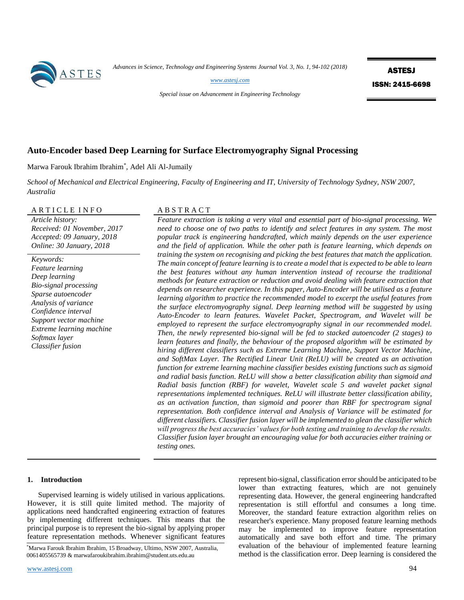

*Advances in Science, Technology and Engineering Systems Journal Vol. 3, No. 1, 94-102 (2018)*

*[www.astesj.com](http://www.astesj.com/)*

ASTESJ ISSN: 2415-6698

*Special issue on Advancement in Engineering Technology*

# **Auto-Encoder based Deep Learning for Surface Electromyography Signal Processing**

Marwa Farouk Ibrahim Ibrahim\* , Adel Ali Al-Jumaily

*School of Mechanical and Electrical Engineering, Faculty of Engineering and IT, University of Technology Sydney, NSW 2007, Australia*

# ARTICLE INFO ABSTRACT

*Article history: Received: 01 November, 2017 Accepted: 09 January, 2018 Online: 30 January, 2018*

*Keywords: Feature learning Deep learning Bio-signal processing Sparse autoencoder Analysis of variance Confidence interval Support vector machine Extreme learning machine Softmax layer Classifier fusion*

*Feature extraction is taking a very vital and essential part of bio-signal processing. We need to choose one of two paths to identify and select features in any system. The most popular track is engineering handcrafted, which mainly depends on the user experience and the field of application. While the other path is feature learning, which depends on training the system on recognising and picking the best features that match the application. The main concept of feature learning is to create a model that is expected to be able to learn the best features without any human intervention instead of recourse the traditional methods for feature extraction or reduction and avoid dealing with feature extraction that depends on researcher experience. In this paper, Auto-Encoder will be utilised as a feature learning algorithm to practice the recommended model to excerpt the useful features from the surface electromyography signal. Deep learning method will be suggested by using Auto-Encoder to learn features. Wavelet Packet, Spectrogram, and Wavelet will be employed to represent the surface electromyography signal in our recommended model. Then, the newly represented bio-signal will be fed to stacked autoencoder (2 stages) to learn features and finally, the behaviour of the proposed algorithm will be estimated by hiring different classifiers such as Extreme Learning Machine, Support Vector Machine, and SoftMax Layer. The Rectified Linear Unit (ReLU) will be created as an activation function for extreme learning machine classifier besides existing functions such as sigmoid and radial basis function. ReLU will show a better classification ability than sigmoid and Radial basis function (RBF) for wavelet, Wavelet scale 5 and wavelet packet signal representations implemented techniques. ReLU will illustrate better classification ability, as an activation function, than sigmoid and poorer than RBF for spectrogram signal representation. Both confidence interval and Analysis of Variance will be estimated for different classifiers. Classifier fusion layer will be implemented to glean the classifier which will progress the best accuracies' values for both testing and training to develop the results. Classifier fusion layer brought an encouraging value for both accuracies either training or testing ones.*

## **1. Introduction**

Supervised learning is widely utilised in various applications. However, it is still quite limited method. The majority of applications need handcrafted engineering extraction of features by implementing different techniques. This means that the principal purpose is to represent the bio-signal by applying proper feature representation methods. Whenever significant features

www.astes<u>i.com</u> 94

represent bio-signal, classification error should be anticipated to be lower than extracting features, which are not genuinely representing data. However, the general engineering handcrafted representation is still effortful and consumes a long time. Moreover, the standard feature extraction algorithm relies on researcher's experience. Many proposed feature learning methods may be implemented to improve feature representation automatically and save both effort and time. The primary evaluation of the behaviour of implemented feature learning method is the classification error. Deep learning is considered the

<sup>\*</sup>Marwa Farouk Ibrahim Ibrahim, 15 Broadway, Ultimo, NSW 2007, Australia, 0061405565739 & marwafaroukibrahim.ibrahim@student.uts.edu.au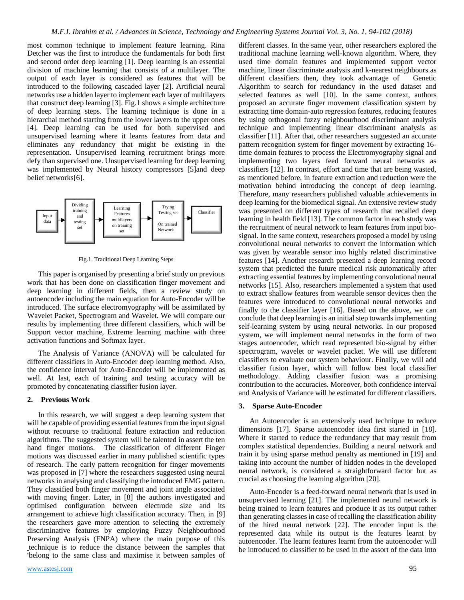most common technique to implement feature learning. Rina Detcher was the first to introduce the fundamentals for both first and second order deep learning [1]. Deep learning is an essential division of machine learning that consists of a multilayer. The output of each layer is considered as features that will be introduced to the following cascaded layer [2]. Artificial neural networks use a hidden layer to implement each layer of multilayers that construct deep learning [3]. Fig.1 shows a simple architecture of deep learning steps. The learning technique is done in a hierarchal method starting from the lower layers to the upper ones [4]. Deep learning can be used for both supervised and unsupervised learning where it learns features from data and eliminates any redundancy that might be existing in the representation. Unsupervised learning recruitment brings more defy than supervised one. Unsupervised learning for deep learning was implemented by Neural history compressors [5]and deep belief networks[6].



Fig.1. Traditional Deep Learning Steps

This paper is organised by presenting a brief study on previous work that has been done on classification finger movement and deep learning in different fields, then a review study on autoencoder including the main equation for Auto-Encoder will be introduced. The surface electromyography will be assimilated by Wavelet Packet, Spectrogram and Wavelet. We will compare our results by implementing three different classifiers, which will be Support vector machine, Extreme learning machine with three activation functions and Softmax layer.

The Analysis of Variance (ANOVA) will be calculated for different classifiers in Auto-Encoder deep learning method. Also, the confidence interval for Auto-Encoder will be implemented as well. At last, each of training and testing accuracy will be promoted by concatenating classifier fusion layer.

# **2. Previous Work**

In this research, we will suggest a deep learning system that will be capable of providing essential features from the input signal without recourse to traditional feature extraction and reduction algorithms. The suggested system will be talented in assert the ten hand finger motions. The classification of different Finger motions was discussed earlier in many published scientific types of research. The early pattern recognition for finger movements was proposed in [7] where the researchers suggested using neural networks in analysing and classifying the introduced EMG pattern. They classified both finger movement and joint angle associated with moving finger. Later, in [8] the authors investigated and optimised configuration between electrode size and its arrangement to achieve high classification accuracy. Then, in [9] the researchers gave more attention to selecting the extremely discriminative features by employing Fuzzy Neighbourhood Preserving Analysis (FNPA) where the main purpose of this technique is to reduce the distance between the samples that \*belong to the same class and maximise it between samples of different classes. In the same year, other researchers explored the traditional machine learning well-known algorithm. Where, they used time domain features and implemented support vector machine, linear discriminate analysis and k-nearest neighbours as different classifiers then, they took advantage of Genetic Algorithm to search for redundancy in the used dataset and selected features as well [10]. In the same context, authors proposed an accurate finger movement classification system by extracting time domain-auto regression features, reducing features by using orthogonal fuzzy neighbourhood discriminant analysis technique and implementing linear discriminant analysis as classifier [11]. After that, other researchers suggested an accurate pattern recognition system for finger movement by extracting 16 time domain features to process the Electromyography signal and implementing two layers feed forward neural networks as classifiers [12]. In contrast, effort and time that are being wasted, as mentioned before, in feature extraction and reduction were the motivation behind introducing the concept of deep learning. Therefore, many researchers published valuable achievements in deep learning for the biomedical signal. An extensive review study was presented on different types of research that recalled deep learning in health field [13]. The common factor in each study was the recruitment of neural network to learn features from input biosignal. In the same context, researchers proposed a model by using convolutional neural networks to convert the information which was given by wearable sensor into highly related discriminative features [14]. Another research presented a deep learning record system that predicted the future medical risk automatically after extracting essential features by implementing convolutional neural networks [15]. Also, researchers implemented a system that used to extract shallow features from wearable sensor devices then the features were introduced to convolutional neural networks and finally to the classifier layer [16]. Based on the above, we can conclude that deep learning is an initial step towards implementing self-learning system by using neural networks. In our proposed system, we will implement neural networks in the form of two stages autoencoder, which read represented bio-signal by either spectrogram, wavelet or wavelet packet. We will use different classifiers to evaluate our system behaviour. Finally, we will add classifier fusion layer, which will follow best local classifier methodology. Adding classifier fusion was a promising contribution to the accuracies. Moreover, both confidence interval and Analysis of Variance will be estimated for different classifiers.

#### **3. Sparse Auto-Encoder**

An Autoencoder is an extensively used technique to reduce dimensions [17]. Sparse autoencoder idea first started in [18]. Where it started to reduce the redundancy that may result from complex statistical dependencies. Building a neural network and train it by using sparse method penalty as mentioned in [19] and taking into account the number of hidden nodes in the developed neural network, is considered a straightforward factor but as crucial as choosing the learning algorithm [20].

Auto-Encoder is a feed-forward neural network that is used in unsupervised learning [21]. The implemented neural network is being trained to learn features and produce it as its output rather than generating classes in case of recalling the classification ability of the hired neural network [22]. The encoder input is the represented data while its output is the features learnt by autoencoder. The learnt features learnt from the autoencoder will be introduced to classifier to be used in the assort of the data into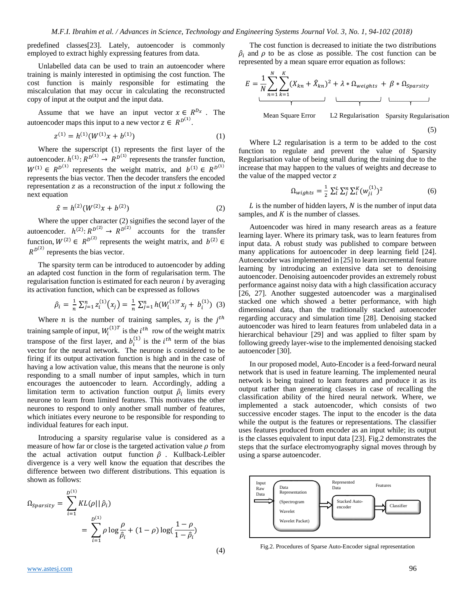predefined classes[23]. Lately, autoencoder is commonly employed to extract highly expressing features from data.

Unlabelled data can be used to train an autoencoder where training is mainly interested in optimising the cost function. The cost function is mainly responsible for estimating the miscalculation that may occur in calculating the reconstructed copy of input at the output and the input data.

Assume that we have an input vector  $x \in R^{D_x}$ . The autoencoder maps this input to a new vector  $z \in R^{D^{(1)}}$ .

$$
z^{(1)} = h^{(1)}(W^{(1)}x + b^{(1)})
$$
 (1)

Where the superscript (1) represents the first layer of the autoencoder.  $h^{(1)}$ :  $R^{D^{(1)}} \rightarrow R^{D^{(1)}}$  represents the transfer function,  $W^{(1)} \in R^{D^{(1)}}$  represents the weight matrix, and  $b^{(1)} \in R^{D^{(1)}}$ represents the bias vector. Then the decoder transfers the encoded representation  $z$  as a reconstruction of the input  $x$  following the next equation

$$
\hat{x} = h^{(2)}(W^{(2)}x + b^{(2)})\tag{2}
$$

Where the upper character (2) signifies the second layer of the autoencoder.  $h^{(2)}$ :  $R^{D^{(2)}} \rightarrow R^{D^{(2)}}$  accounts for the transfer function,  $W^{(2)} \in R^{D^{(2)}}$  represents the weight matrix, and  $b^{(2)} \in$  $R^{D^{(2)}}$  represents the bias vector.

The sparsity term can be introduced to autoencoder by adding an adapted cost function in the form of regularisation term. The regularisation function is estimated for each neuron  $i$  by averaging its activation function, which can be expressed as follows

$$
\hat{\rho}_i = \frac{1}{n} \sum_{j=1}^n z_i^{(1)}(x_j) = \frac{1}{n} \sum_{j=1}^n h(W_i^{(1)T} x_j + b_i^{(1)}) \tag{3}
$$

Where *n* is the number of training samples,  $x_j$  is the  $j<sup>th</sup>$ training sample of input,  $W_i^{(1)T}$  is the  $i^{th}$  row of the weight matrix transpose of the first layer, and  $b_i^{(1)}$  is the  $i^{th}$  term of the bias vector for the neural network. The neurone is considered to be firing if its output activation function is high and in the case of having a low activation value, this means that the neurone is only responding to a small number of input samples, which in turn encourages the autoencoder to learn. Accordingly, adding a limitation term to activation function output  $\hat{\rho}_i$  limits every neurone to learn from limited features. This motivates the other neurones to respond to only another small number of features, which initiates every neurone to be responsible for responding to individual features for each input.

Introducing a sparsity regularise value is considered as a measure of how far or close is the targeted activation value  $\rho$  from the actual activation output function  $\hat{\rho}$ . Kullback-Leibler divergence is a very well know the equation that describes the difference between two different distributions. This equation is shown as follows:

$$
\Omega_{sparsity} = \sum_{i=1}^{D^{(1)}} KL(\rho || \hat{\rho}_i)
$$
  
= 
$$
\sum_{i=1}^{D^{(1)}} \rho \log \frac{\rho}{\hat{\rho}_i} + (1 - \rho) \log(\frac{1 - \rho}{1 - \hat{\rho}_i})
$$

The cost function is decreased to initiate the two distributions  $\hat{\rho}_i$  and  $\rho$  to be as close as possible. The cost function can be represented by a mean square error equation as follows:

$$
E = \frac{1}{N} \sum_{n=1}^{N} \sum_{k=1}^{K} (X_{kn} + \hat{X}_{kn})^2 + \lambda * \Omega_{weights} + \beta * \Omega_{sparsity}
$$
  
Mean Square Error L2 Regularisation Sparsity Regularisation

(5)

Where L2 regularisation is a term to be added to the cost function to regulate and prevent the value of Sparsity Regularisation value of being small during the training due to the increase that may happen to the values of weights and decrease to the value of the mapped vector

$$
\Omega_{wights} = \frac{1}{2} \sum_{l}^{L} \sum_{j}^{n} \sum_{i}^{K} (w_{ji}^{(1)})^2
$$
\n(6)

 $L$  is the number of hidden layers,  $N$  is the number of input data samples, and  $K$  is the number of classes.

Autoencoder was hired in many research areas as a feature learning layer. Where its primary task, was to learn features from input data. A robust study was published to compare between many applications for autoencoder in deep learning field [24]. Autoencoder was implemented in [25] to learn incremental feature learning by introducing an extensive data set to denoising autoencoder. Denoising autoencoder provides an extremely robust performance against noisy data with a high classification accuracy [26, 27]. Another suggested autoencoder was a marginalised stacked one which showed a better performance, with high dimensional data, than the traditionally stacked autoencoder regarding accuracy and simulation time [28]. Denoising stacked autoencoder was hired to learn features from unlabeled data in a hierarchical behaviour [29] and was applied to filter spam by following greedy layer-wise to the implemented denoising stacked autoencoder [30].

In our proposed model, Auto-Encoder is a feed-forward neural network that is used in feature learning. The implemented neural network is being trained to learn features and produce it as its output rather than generating classes in case of recalling the classification ability of the hired neural network. Where, we implemented a stack autoencoder, which consists of two successive encoder stages. The input to the encoder is the data while the output is the features or representations. The classifier uses features produced from encoder as an input while; its output is the classes equivalent to input data [23]. Fig.2 demonstrates the steps that the surface electromyography signal moves through by using a sparse autoencoder.



Fig.2. Procedures of Sparse Auto-Encoder signal representation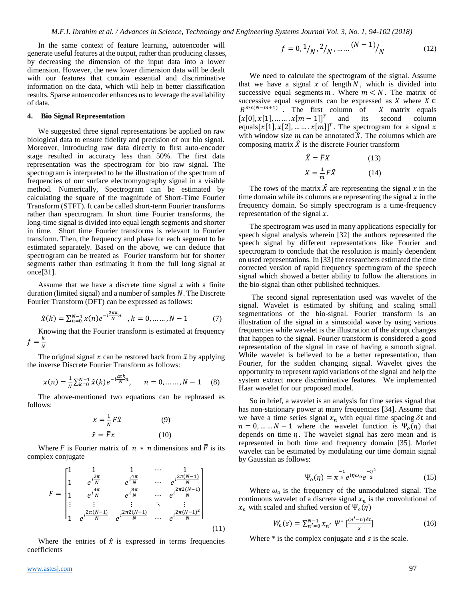In the same context of feature learning, autoencoder will generate useful features at the output, rather than producing classes, by decreasing the dimension of the input data into a lower dimension. However, the new lower dimension data will be dealt with our features that contain essential and discriminative information on the data, which will help in better classification results. Sparse autoencoder enhances us to leverage the availability of data.

#### **4. Bio Signal Representation**

We suggested three signal representations be applied on raw biological data to ensure fidelity and precision of our bio signal. Moreover, introducing raw data directly to first auto-encoder stage resulted in accuracy less than 50%. The first data representation was the spectrogram for bio raw signal. The spectrogram is interpreted to be the illustration of the spectrum of frequencies of our surface electromyography signal in a visible method. Numerically, Spectrogram can be estimated by calculating the square of the magnitude of Short-Time Fourier Transform (STFT). It can be called short-term Fourier transforms rather than spectrogram. In short time Fourier transforms, the long-time signal is divided into equal length segments and shorter in time. Short time Fourier transforms is relevant to Fourier transform. Then, the frequency and phase for each segment to be estimated separately. Based on the above, we can deduce that spectrogram can be treated as Fourier transform but for shorter segments rather than estimating it from the full long signal at once[31].

Assume that we have a discrete time signal  $x$  with a finite duration (limited signal) and a number of samples  $N$ . The Discrete Fourier Transform (DFT) can be expressed as follows:

$$
\hat{x}(k) = \sum_{n=0}^{N-1} x(n)e^{-i\frac{2\pi k}{N}n}, \quad k = 0, \dots, N-1 \tag{7}
$$

Knowing that the Fourier transform is estimated at frequency  $f=\frac{k}{w}$ N

The original signal  $x$  can be restored back from  $\hat{x}$  by applying the inverse Discrete Fourier Transform as follows:

$$
x(n) = \frac{1}{N} \sum_{k=0}^{N-1} \hat{x}(k) e^{-i\frac{2\pi k}{N}n}, \quad n = 0, \dots, N-1 \quad (8)
$$

The above-mentioned two equations can be rephrased as follows:

$$
x = \frac{1}{N}F\hat{x}
$$
 (9)  

$$
\hat{x} = \bar{F}x
$$
 (10)

Where F is Fourier matrix of  $n * n$  dimensions and  $\bar{F}$  is its complex conjugate

$$
F = \begin{bmatrix} 1 & 1 & 1 & \cdots & 1 \\ 1 & e^{i\frac{2\pi}{N}} & e^{i\frac{4\pi}{N}} & \cdots & e^{i\frac{2\pi(N-1)}{N}} \\ 1 & e^{i\frac{4\pi}{N}} & e^{i\frac{8\pi}{N}} & \cdots & e^{i\frac{2\pi2(N-1)}{N}} \\ \vdots & \vdots & \vdots & \ddots & \vdots \\ 1 & e^{i\frac{2\pi(N-1)}{N}} & e^{i\frac{2\pi2(N-1)}{N}} & \cdots & e^{i\frac{2\pi(N-1)^2}{N}} \end{bmatrix}
$$
(1)

 $(1)$ 

Where the entries of  $\hat{x}$  is expressed in terms frequencies coefficients

[www.astesj.com](http://www.astesj.com/) 97

$$
f = 0, \frac{1}{N}, \frac{2}{N}, \dots \dots \frac{(N-1)}{N}
$$
 (12)

We need to calculate the spectrogram of the signal. Assume that we have a signal  $x$  of length  $N$ , which is divided into successive equal segments  $m$ . Where  $m < N$ . The matrix of successive equal segments can be expressed as  $X$  where  $X \in$  $R^{mx(N-m+1)}$ . The first column of X matrix equals  $[x[0], x[1], \dots, x[m-1]]^T$ and its second column equals [x[1], x[2], ... ... .  $x[m]]^T$ . The spectrogram for a signal x with window size m can be annotated  $\hat{X}$ . The columns which are composing matrix  $\hat{X}$  is the discrete Fourier transform

$$
\hat{X} = \bar{F}X \tag{13}
$$
\n
$$
X = \frac{1}{m}F\hat{X} \tag{14}
$$

The rows of the matrix  $\hat{X}$  are representing the signal  $x$  in the time domain while its columns are representing the signal  $x$  in the frequency domain. So simply spectrogram is a time-frequency representation of the signal  $x$ .

The spectrogram was used in many applications especially for speech signal analysis wherein [32] the authors represented the speech signal by different representations like Fourier and spectrogram to conclude that the resolution is mainly dependent on used representations. In [33] the researchers estimated the time corrected version of rapid frequency spectrogram of the speech signal which showed a better ability to follow the alterations in the bio-signal than other published techniques.

The second signal representation used was wavelet of the signal. Wavelet is estimated by shifting and scaling small segmentations of the bio-signal. Fourier transform is an illustration of the signal in a sinusoidal wave by using various frequencies while wavelet is the illustration of the abrupt changes that happen to the signal. Fourier transform is considered a good representation of the signal in case of having a smooth signal. While wavelet is believed to be a better representation, than Fourier, for the sudden changing signal. Wavelet gives the opportunity to represent rapid variations of the signal and help the system extract more discriminative features. We implemented Haar wavelet for our proposed model.

So in brief, a wavelet is an analysis for time series signal that has non-stationary power at many frequencies [34]. Assume that we have a time series signal  $x_n$  with equal time spacing  $\delta t$  and  $n = 0, \dots, N - 1$  where the wavelet function is  $\Psi_o(\eta)$  that depends on time  $\eta$ . The wavelet signal has zero mean and is represented in both time and frequency domain [35]. Morlet wavelet can be estimated by modulating our time domain signal by Gaussian as follows:

$$
\Psi_o(\eta) = \pi^{\frac{-1}{4}} e^{i\eta \omega_o} e^{\frac{-\eta^2}{2}}
$$
 (15)

Where  $\omega_o$  is the frequency of the unmodulated signal. The continuous wavelet of a discrete signal  $x_n$  is the convolutional of  $x_n$  with scaled and shifted version of  $\Psi_o(\eta)$ 

$$
W_n(s) = \sum_{n'=0}^{N-1} x_{n'} \ \Psi^* \left[ \frac{(n'-n)\delta t}{s} \right] \tag{16}
$$

Where  $*$  is the complex conjugate and  $s$  is the scale.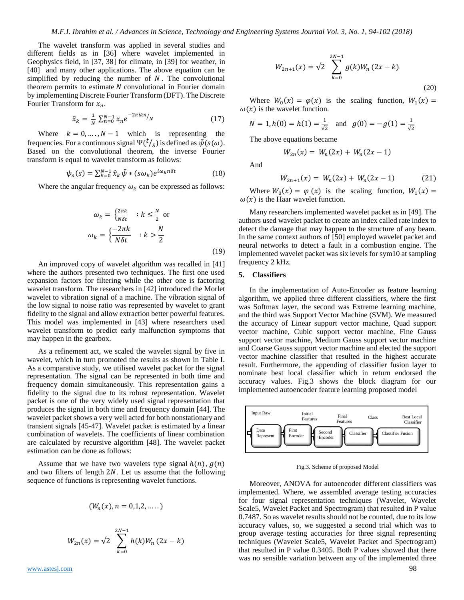The wavelet transform was applied in several studies and different fields as in [36] where wavelet implemented in Geophysics field, in [37, 38] for climate, in [39] for weather, in [40] and many other applications. The above equation can be simplified by reducing the number of  $N$ . The convolutional theorem permits to estimate  $N$  convolutional in Fourier domain by implementing Discrete Fourier Transform (DFT). The Discrete Fourier Transform for  $x_n$ .

$$
\hat{x}_k = \frac{1}{N} \sum_{n=0}^{N-1} x_n e^{-2\pi i k n} / N \tag{17}
$$

Where  $k = 0, ..., N - 1$  which is representing the frequencies. For a continuous signal  $\Psi(\frac{t}{s})$  is defined as  $\widetilde{\psi}(s(\omega))$ . Based on the convolutional theorem, the inverse Fourier transform is equal to wavelet transform as follows:

$$
\psi_n(s) = \sum_{k=0}^{N-1} \hat{x}_k \,\hat{\psi} * (s\omega_k) e^{i\omega_k n \delta t} \tag{18}
$$

Where the angular frequency  $\omega_k$  can be expressed as follows:

$$
\omega_k = \begin{cases} \frac{2\pi k}{N\delta t} & : k \le \frac{N}{2} \text{ or} \\ \omega_k = \begin{cases} \frac{-2\pi k}{N\delta t} & : k > \frac{N}{2} \end{cases} \end{cases} \tag{19}
$$

An improved copy of wavelet algorithm was recalled in [41] where the authors presented two techniques. The first one used expansion factors for filtering while the other one is factoring wavelet transform. The researchers in [42] introduced the Morlet wavelet to vibration signal of a machine. The vibration signal of the low signal to noise ratio was represented by wavelet to grant fidelity to the signal and allow extraction better powerful features. This model was implemented in [43] where researchers used wavelet transform to predict early malfunction symptoms that may happen in the gearbox.

As a refinement act, we scaled the wavelet signal by five in wavelet, which in turn promoted the results as shown in Table I. As a comparative study, we utilised wavelet packet for the signal representation. The signal can be represented in both time and frequency domain simultaneously. This representation gains a fidelity to the signal due to its robust representation. Wavelet packet is one of the very widely used signal representation that produces the signal in both time and frequency domain [44]. The wavelet packet shows a very well acted for both nonstationary and transient signals [45-47]. Wavelet packet is estimated by a linear combination of wavelets. The coefficients of linear combination are calculated by recursive algorithm [48]. The wavelet packet estimation can be done as follows:

Assume that we have two wavelets type signal  $h(n)$ ,  $g(n)$ and two filters of length  $2N$ . Let us assume that the following sequence of functions is representing wavelet functions.

$$
(W_n(x), n=0,1,2,\ldots)
$$

$$
W_{2n}(x) = \sqrt{2} \sum_{k=0}^{2N-1} h(k)W_n(2x - k)
$$

[www.astesj.com](http://www.astesj.com/) 98 Page 1 and 2012 1 and 2012 1 and 2012 1 and 2012 1 and 2012 1 and 2012 1 and 2012 1 and 2012

$$
W_{2n+1}(x) = \sqrt{2} \sum_{k=0}^{2N-1} g(k)W_n(2x-k)
$$
\n(20)

Where  $W_0(x) = \varphi(x)$  is the scaling function,  $W_1(x) =$  $\omega(x)$  is the wavelet function.

$$
N = 1, h(0) = h(1) = \frac{1}{\sqrt{2}}
$$
 and  $g(0) = -g(1) = \frac{1}{\sqrt{2}}$ 

The above equations became

$$
W_{2n}(x) = W_n(2x) + W_n(2x - 1)
$$

And

$$
W_{2n+1}(x) = W_n(2x) + W_n(2x - 1) \tag{21}
$$

Where  $W_0(x) = \varphi(x)$  is the scaling function,  $W_1(x) =$  $\omega(x)$  is the Haar wavelet function.

Many researchers implemented wavelet packet as in [49]. The authors used wavelet packet to create an index called rate index to detect the damage that may happen to the structure of any beam. In the same context authors of [50] employed wavelet packet and neural networks to detect a fault in a combustion engine. The implemented wavelet packet was six levels for sym10 at sampling frequency 2 kHz.

## **5. Classifiers**

In the implementation of Auto-Encoder as feature learning algorithm, we applied three different classifiers, where the first was Softmax layer, the second was Extreme learning machine, and the third was Support Vector Machine (SVM). We measured the accuracy of Linear support vector machine, Quad support vector machine, Cubic support vector machine, Fine Gauss support vector machine, Medium Gauss support vector machine and Coarse Gauss support vector machine and elected the support vector machine classifier that resulted in the highest accurate result. Furthermore, the appending of classifier fusion layer to nominate best local classifier which in return endorsed the accuracy values. Fig.3 shows the block diagram for our implemented autoencoder feature learning proposed model



Fig.3. Scheme of proposed Model

Moreover, ANOVA for autoencoder different classifiers was implemented. Where, we assembled average testing accuracies for four signal representation techniques (Wavelet, Wavelet Scale5, Wavelet Packet and Spectrogram) that resulted in P value 0.7487. So as wavelet results should not be counted, due to its low accuracy values, so, we suggested a second trial which was to group average testing accuracies for three signal representing techniques (Wavelet Scale5, Wavelet Packet and Spectrogram) that resulted in P value 0.3405. Both P values showed that there was no sensible variation between any of the implemented three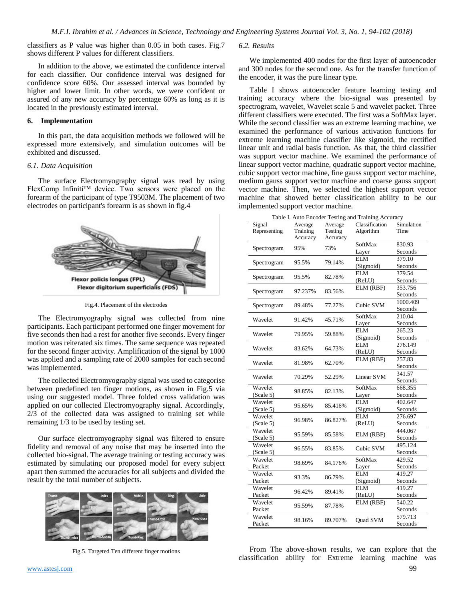classifiers as P value was higher than 0.05 in both cases. Fig.7 shows different P values for different classifiers.

In addition to the above, we estimated the confidence interval for each classifier. Our confidence interval was designed for confidence score 60%. Our assessed interval was bounded by higher and lower limit. In other words, we were confident or assured of any new accuracy by percentage 60% as long as it is located in the previously estimated interval.

# **6. Implementation**

In this part, the data acquisition methods we followed will be expressed more extensively, and simulation outcomes will be exhibited and discussed.

## *6.1. Data Acquisition*

The surface Electromyography signal was read by using FlexComp Infiniti™ device. Two sensors were placed on the forearm of the participant of type T9503M. The placement of two electrodes on participant's forearm is as shown in fig.4



Fig.4. Placement of the electrodes

The Electromyography signal was collected from nine participants. Each participant performed one finger movement for five seconds then had a rest for another five seconds. Every finger motion was reiterated six times. The same sequence was repeated for the second finger activity. Amplification of the signal by 1000 was applied and a sampling rate of 2000 samples for each second was implemented.

The collected Electromyography signal was used to categorise between predefined ten finger motions, as shown in Fig.5 via using our suggested model. Three folded cross validation was applied on our collected Electromyography signal. Accordingly, 2/3 of the collected data was assigned to training set while remaining 1/3 to be used by testing set.

Our surface electromyography signal was filtered to ensure fidelity and removal of any noise that may be inserted into the collected bio-signal. The average training or testing accuracy was estimated by simulating our proposed model for every subject apart then summed the accuracies for all subjects and divided the result by the total number of subjects.



Fig.5. Targeted Ten different finger motions

#### *6.2. Results*

We implemented 400 nodes for the first layer of autoencoder and 300 nodes for the second one. As for the transfer function of the encoder, it was the pure linear type.

Table I shows autoencoder feature learning testing and training accuracy where the bio-signal was presented by spectrogram, wavelet, Wavelet scale 5 and wavelet packet. Three different classifiers were executed. The first was a SoftMax layer. While the second classifier was an extreme learning machine, we examined the performance of various activation functions for extreme learning machine classifier like sigmoid, the rectified linear unit and radial basis function. As that, the third classifier was support vector machine. We examined the performance of linear support vector machine, quadratic support vector machine, cubic support vector machine, fine gauss support vector machine, medium gauss support vector machine and coarse gauss support vector machine. Then, we selected the highest support vector machine that showed better classification ability to be our implemented support vector machine.

| Table I. Auto Encoder Testing and Training Accuracy |          |          |                |            |  |  |
|-----------------------------------------------------|----------|----------|----------------|------------|--|--|
| Signal                                              | Average  | Average  | Classification | Simulation |  |  |
| Representing                                        | Training | Testing  | Algorithm      | Time       |  |  |
|                                                     | Accuracy | Accuracy |                |            |  |  |
| Spectrogram                                         | 95%      | 73%      | SoftMax        | 830.93     |  |  |
|                                                     |          |          | Layer          | Seconds    |  |  |
| Spectrogram                                         | 95.5%    | 79.14%   | <b>ELM</b>     | 379.10     |  |  |
|                                                     |          |          | (Sigmoid)      | Seconds    |  |  |
| Spectrogram                                         | 95.5%    | 82.78%   | <b>ELM</b>     | 379.54     |  |  |
|                                                     |          |          | (ReLU)         | Seconds    |  |  |
| Spectrogram                                         | 97.237%  | 83.56%   | ELM (RBF)      | 353.756    |  |  |
|                                                     |          |          |                | Seconds    |  |  |
|                                                     | 89.48%   | 77.27%   | Cubic SVM      | 1000.409   |  |  |
| Spectrogram                                         |          |          |                | Seconds    |  |  |
|                                                     |          |          | SoftMax        | 210.04     |  |  |
| Wavelet                                             | 91.42%   | 45.71%   | Layer          | Seconds    |  |  |
|                                                     |          |          | <b>ELM</b>     | 265.23     |  |  |
| Wavelet                                             | 79.95%   | 59.88%   | (Sigmoid)      | Seconds    |  |  |
|                                                     |          |          | <b>ELM</b>     | 276.149    |  |  |
| Wavelet                                             | 83.62%   | 64.73%   | (ReLU)         | Seconds    |  |  |
|                                                     | 81.98%   | 62.70%   | ELM (RBF)      | 257.83     |  |  |
| Wavelet                                             |          |          |                | Seconds    |  |  |
| Wavelet                                             | 70.29%   | 52.29%   | Linear SVM     | 341.57     |  |  |
|                                                     |          |          |                | Seconds    |  |  |
| Wavelet                                             | 98.85%   | 82.13%   | SoftMax        | 668.355    |  |  |
| (Scale 5)                                           |          |          | Layer          | Seconds    |  |  |
| Wavelet                                             | 95.65%   | 85.416%  | ELM            | 402.647    |  |  |
| (Scale 5)                                           |          |          | (Sigmoid)      | Seconds    |  |  |
| Wavelet                                             |          |          | ELM            | 276.697    |  |  |
| (Scale 5)                                           | 96.98%   | 86.827%  | (ReLU)         | Seconds    |  |  |
| Wavelet                                             |          |          |                | 444.067    |  |  |
| (Scale 5)                                           | 95.59%   | 85.58%   | ELM (RBF)      | Seconds    |  |  |
| Wavelet                                             | 96.55%   |          | Cubic SVM      | 495.124    |  |  |
| (Scale 5)                                           |          | 83.85%   |                | Seconds    |  |  |
| Wavelet                                             | 98.69%   | 84.176%  | SoftMax        | 429.52     |  |  |
| Packet                                              |          |          | Layer          | Seconds    |  |  |
| Wavelet                                             | 93.3%    | 86.79%   | <b>ELM</b>     | 419.27     |  |  |
| Packet                                              |          |          | (Sigmoid)      | Seconds    |  |  |
| Wavelet                                             |          |          | <b>ELM</b>     | 419.27     |  |  |
| Packet                                              | 96.42%   | 89.41%   | (ReLU)         | Seconds    |  |  |
| Wavelet                                             |          |          | ELM (RBF)      | 540.22     |  |  |
|                                                     | 95.59%   | 87.78%   |                |            |  |  |
| Packet                                              |          |          |                | Seconds    |  |  |
| Wavelet                                             | 98.16%   | 89.707%  | Quad SVM       | 579.713    |  |  |
| Packet                                              |          |          |                | Seconds    |  |  |

From The above-shown results, we can explore that the classification ability for Extreme learning machine was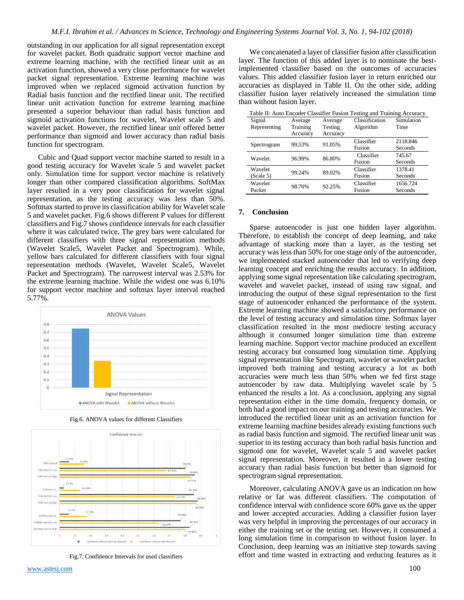outstanding in our application for all signal representation except for wavelet packet. Both quadratic support vector machine and extreme learning machine, with the rectified linear unit as an activation function, showed a very close performance for wavelet packet signal representation. Extreme learning machine was improved when we replaced sigmoid activation function by Radial basis function and the rectified linear unit. The rectified linear unit activation function for extreme learning machine presented a superior behaviour than radial basis function and sigmoid activation functions for wavelet, Wavelet scale 5 and wavelet packet. However, the rectified linear unit offered better performance than sigmoid and lower accuracy than radial basis function for spectrogram.

Cubic and Quad support vector machine started to result in a good testing accuracy for Wavelet scale 5 and wavelet packet only. Simulation time for support vector machine is relatively longer than other compared classification algorithms. SoftMax layer resulted in a very poor classification for wavelet signal representation, as the testing accuracy was less than 50%. Softmax started to prove its classification ability for Wavelet scale 5 and wavelet packet. Fig.6 shows different P values for different classifiers and Fig.7 shows confidence intervals for each classifier where it was calculated twice. The grey bars were calculated for different classifiers with three signal representation methods (Wavelet Scale5, Wavelet Packet and Spectrogram). While, yellow bars calculated for different classifiers with four signal representation methods (Wavelet, Wavelet Scale5, Wavelet Packet and Spectrogram). The narrowest interval was 2.53% for the extreme learning machine. While the widest one was 6.10% for support vector machine and softmax layer interval reached 5.77%.



Fig.6. ANOVA values for different Classifiers



Fig.7. Confidence Intervals for used classifiers

We concatenated a layer of classifier fusion after classification layer. The function of this added layer is to nominate the bestimplemented classifier based on the outcomes of accuracies values. This added classifier fusion layer in return enriched our accuracies as displayed in Table II. On the other side, adding classifier fusion layer relatively increased the simulation time than without fusion layer.

| Table II: Auto Encoder Classifier Fusion Testing and Training Accuracy |          |          |                |            |  |  |
|------------------------------------------------------------------------|----------|----------|----------------|------------|--|--|
| Signal                                                                 | Average  | Average  | Classification | Simulation |  |  |
| Representing                                                           | Training | Testing  | Algorithm      | Time       |  |  |
|                                                                        | Accuracy | Accuracy |                |            |  |  |
| Spectrogram                                                            | 99.53%   | 91.05%   | Classifier     | 2118.846   |  |  |
|                                                                        |          |          | Fusion         | Seconds    |  |  |
| Wavelet                                                                | 96.99%   | 86.80%   | Classifier     | 745.67     |  |  |
|                                                                        |          |          | Fusion         | Seconds    |  |  |
| Wavelet                                                                | 99.24%   | 89.02%   | Classifier     | 1378.41    |  |  |
| (Scale 5)                                                              |          |          | Fusion         | Seconds    |  |  |
| Wavelet                                                                | 98.70%   | 92.25%   | Classifier     | 1656.724   |  |  |
| Packet                                                                 |          |          | Fusion         | Seconds    |  |  |

Table II: Auto Encoder Classifier Fusion Testing and Training Accuracy

### **7. Conclusion**

Sparse autoencoder is just one hidden layer algorithm. Therefore, to establish the concept of deep learning, and take advantage of stacking more than a layer, as the testing set accuracy was less than 50% for one stage only of the autoencoder, we implemented stacked autoencoder that led to verifying deep learning concept and enriching the results accuracy. In addition, applying some signal representation like calculating spectrogram, wavelet and wavelet packet, instead of using raw signal, and introducing the output of these signal representation to the first stage of autoencoder enhanced the performance of the system. Extreme learning machine showed a satisfactory performance on the level of testing accuracy and simulation time. Softmax layer classification resulted in the most mediocre testing accuracy although it consumed longer simulation time than extreme learning machine. Support vector machine produced an excellent testing accuracy but consumed long simulation time. Applying signal representation like Spectrogram, wavelet or wavelet packet improved both training and testing accuracy a lot as both accuracies were much less than 50% when we fed first stage autoencoder by raw data. Multiplying wavelet scale by 5 enhanced the results a lot. As a conclusion, applying any signal representation either in the time domain, frequency domain, or both had a good impact on our training and testing accuracies. We introduced the rectified linear unit as an activation function for extreme learning machine besides already existing functions such as radial basis function and sigmoid. The rectified linear unit was superior in its testing accuracy than both radial basis function and sigmoid one for wavelet, Wavelet scale 5 and wavelet packet signal representation. Moreover, it resulted in a lower testing accuracy than radial basis function but better than sigmoid for spectrogram signal representation.

Moreover, calculating ANOVA gave us an indication on how relative or far was different classifiers. The computation of confidence interval with confidence score 60% gave us the upper and lower accepted accuracies. Adding a classifier fusion layer was very helpful in improving the percentages of our accuracy in either the training set or the testing set. However, it consumed a long simulation time in comparison to without fusion layer. In Conclusion, deep learning was an initiative step towards saving effort and time wasted in extracting and reducing features as it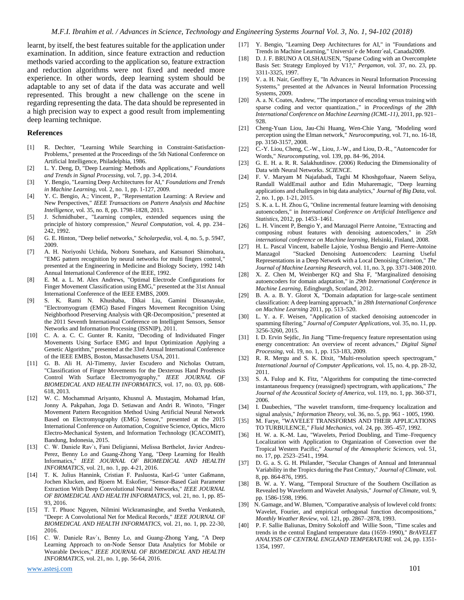learnt, by itself, the best features suitable for the application under examination. In addition, since feature extraction and reduction methods varied according to the application so, feature extraction and reduction algorithms were not fixed and needed more experience. In other words, deep learning system should be adaptable to any set of data if the data was accurate and well represented. This brought a new challenge on the scene in regarding representing the data. The data should be represented in a high precision way to expect a good result from implementing deep learning technique.

#### **References**

- [1] R. Dechter, "Learning While Searching in Constraint-Satisfaction-Problems," presented at the Proceedings of the 5th National Conference on Artificial Intelligence, Philadelphia, 1986.
- [2] L. Y. Deng, D, "Deep Learning: Methods and Applications," *Foundations and Trends in Signal Processing,* vol. 7, pp. 3-4, 2014.
- [3] Y. Bengio, "Learning Deep Architectures for AI," *Foundations and Trends in Machine Learning,* vol. 2, no. 1, pp. 1-127, 2009.
- [4] Y. C. Bengio, A.; Vincent, P., "Representation Learning: A Review and New Perspectives," *IEEE Transactions on Pattern Analysis and Machine Intelligence,* vol. 35, no. 8, pp. 1798–1828, 2013.
- [5] J. Schmidhuber., "Learning complex, extended sequences using the principle of history compression," *Neural Computation,* vol. 4, pp. 234– 242, 1992.
- [6] G. E. Hinton, "Deep belief networks," *Scholarpedia,* vol. 4, no. 5, p. 5947, 2009.
- [7] A. H. Noriyoshi Uchida, Noboru Sonehara, and Katsunori Shimohara, "EMG pattern recognition by neural networks for multi fingers control," presented at the Engineering in Medicine and Biology Society, 1992 14th Annual International Conference of the IEEE, 1992.
- [8] E. M. a. L. M. Alex Andrews, "Optimal Electrode Configurations for Finger Movement Classification using EMG," presented at the 31st Annual International Conference of the IEEE EMBS, 2009.
- [9] S. K. Rami N. Khushaba, Dikai Liu, Gamini Dissanayake, "Electromyogram (EMG) Based Fingers Movement Recognition Using Neighborhood Preserving Analysis with QR-Decomposition," presented at the 2011 Seventh International Conference on Intelligent Sensors, Sensor Networks and Information Processing (ISSNIP), 2011.
- [10] C. A. a. C. C. Gunter R. Kanitz, "Decoding of Individuated Finger Movements Using Surface EMG and Input Optimization Applying a Genetic Algorithm," presented at the 33rd Annual International Conference of the IEEE EMBS, Boston, Massachusetts USA, 2011.
- [11] G. B. Ali H. Al-Timemy, Javier Escudero and Nicholas Outram, "Classification of Finger Movements for the Dexterous Hand Prosthesis Control With Surface Electromyography," *IEEE JOURNAL OF BIOMEDICAL AND HEALTH INFORMATICS,* vol. 17, no. 03, pp. 608- 618, 2013.
- [12] W. C. Mochammad Ariyanto, Khusnul A. Mustaqim, Mohamad Irfan, Jonny A. Pakpahan, Joga D. Setiawan and Andri R. Winoto, "Finger Movement Pattern Recognition Method Using Artificial Neural Network Based on Electromyography (EMG) Sensor," presented at the 2015 International Conference on Automation, Cognitive Science, Optics, Micro Electro-Mechanical System, and Information Technology (ICACOMIT), Bandung, Indonesia, 2015.
- [13] C. W. Daniele Rav`ı, Fani Deligianni, Melissa Berthelot, Javier Andreu-Perez, Benny Lo and Guang-Zhong Yang, "Deep Learning for Health Informatics," *IEEE JOURNAL OF BIOMEDICAL AND HEALTH INFORMATICS,* vol. 21, no. 1, pp. 4-21, 2016.
- [14] T. K. Julius Hannink, Cristian F. Pasluosta, Karl-G ¨unter Gaßmann, Jochen Klucken, and Bjoern M. Eskofier, "Sensor-Based Gait Parameter Extraction With Deep Convolutional Neural Networks," *IEEE JOURNAL OF BIOMEDICAL AND HEALTH INFORMATICS,* vol. 21, no. 1, pp. 85- 93, 2016.
- [15] T. T. Phuoc Nguyen, Nilmini Wickramasinghe, and Svetha Venkatesh, "Deepr: A Convolutional Net for Medical Records," *IEEE JOURNAL OF BIOMEDICAL AND HEALTH INFORMATICS,* vol. 21, no. 1, pp. 22-30, 2016.
- [16] C. W. Daniele Rav`ı, Benny Lo, and Guang-Zhong Yang, "A Deep Learning Approach to on-Node Sensor Data Analytics for Mobile or Wearable Devices," *IEEE JOURNAL OF BIOMEDICAL AND HEALTH INFORMATICS,* vol. 21, no. 1, pp. 56-64, 2016.
- [17] Y. Bengio, "Learning Deep Architectures for AI," in "Foundations and Trends in Machine Learning," Universit´e de Montr´eal, Canada2009.
- [18] D. J. F. BRUNO A OLSHAUSEN, "Sparse Coding with an Overcomplete Basis Set: Strategy Employed by V1?," *Pergamon,* vol. 37, no. 23, pp. 3311-3325, 1997.
- [19] V. a. H. Nair, Geoffrey E, "In Advances in Neural Information Processing Systems," presented at the Advances in Neural Information Processing Systems, 2009.
- [20] A. a. N. Coates, Andrew, "The importance of encoding versus training with sparse coding and vector quantization.," in *Proceedings of the 28th International Conference on Machine Learning (ICML-11)*, 2011, pp. 921– 928.
- [21] Cheng-Yuan Liou, Jau-Chi Huang, Wen-Chie Yang, "Modeling word perception using the Elman network," *Neurocomputing,* vol. 71, no. 16-18, pp. 3150-3157, 2008.
- [22] C.-Y. Liou, Cheng, C.-W., Liou, J.-W., and Liou, D.-R., "Autoencoder for Words," *Neurocomputing,* vol. 139, pp. 84–96, 2014.
- [23] G. E. H. a. R. R. Salakhutdinov. (2006) Reducing the Dimensionality of Data with Neural Networks. *SCIENCE*.
- [24] F. V. Maryam M Najafabadi, Taghi M Khoshgoftaar, Naeem Seliya, Randall WaldEmail author and Edin Muharemagic, "Deep learning applications and challenges in big data analytics," *Journal of Big Data,* vol. 2, no. 1, pp. 1-21, 2015.
- [25] S. K. a. L. H. Zhou G, "Online incremental feature learning with denoising autoencoders," in *International Conference on Artificial Intelligence and Statistics*, 2012, pp. 1453–1461.
- [26] L. H. Vincent P, Bengio Y, and Manzagol Pierre Antoine, "Extracting and composing robust features with denoising autoencoders," in *25th international conference on Machine learning*, Helsinki, Finland, 2008.
- [27] H. L. Pascal Vincent, Isabelle Lajoie, Yoshua Bengio and Pierre-Antoine Manzagol "Stacked Denoising Autoencoders: Learning Useful Representations in a Deep Network with a Local Denoising Criterion," *The Journal of Machine Learning Research,* vol. 11, no. 3, pp. 3371-3408 2010.
- [28] X. Z. Chen M, Weinberger KQ and Sha F, "Marginalized denoising autoencoders for domain adaptation," in *29th International Conference in Machine Learning*, Edingburgh, Scotland, 2012.
- [29] B. A. a. B. Y. Glorot X, "Domain adaptation for large-scale sentiment classification: A deep learning approach," in *28th International Conference on Machine Learning* 2011, pp. 513–520.
- [30] L. Y. a. F. Weisen, "Application of stacked denoising autoencoder in spamming filtering," *Journal of Computer Applications,* vol. 35, no. 11, pp. 3256-3260, 2015.
- [31] I. D. Ervin Sejdic, Jin Jiang "Time-frequency feature representation using energy concentration: An overview of recent advances," *Digital Signal Processing,* vol. 19, no. 1, pp. 153-183, 2009.
- [32] R. R. Mergu and S. K. Dixit, "Multi-resolution speech spectrogram," *International Journal of Computer Applications,* vol. 15, no. 4, pp. 28-32, 2011.
- [33] S. A. Fulop and K. Fitz, "Algorithms for computing the time-corrected instantaneous frequency (reassigned) spectrogram, with applications," *The Journal of the Acoustical Society of America,* vol. 119, no. 1, pp. 360-371, 2006.
- [34] I. Daubechies, "The wavelet transform, time-frequency localization and signal analysis," *Information Theory,* vol. 36, no. 5, pp. 961 - 1005, 1990.
- [35] M. Farye, "WAVELET TRANSFORMS AND THEIR APPLICATIONS TO TURBULENCE," *Fluid Mechanics,* vol. 24, pp. 395–457, 1992.
- [36] H. W. a. K.-M. Lau, "Wavelets, Period Doubling, and Time–Frequency Localization with Application to Organization of Convection over the Tropical Western Pacific," *Journal of the Atmospheric Sciences,* vol. 51, no. 17, pp. 2523–2541., 1994.
- [37] D. G. a. S. G. H. Philander, "Secular Changes of Annual and Interannual Variability in the Tropics during the Past Century," *Journal of Climate,* vol. 8, pp. 864-876, 1995.
- [38] B. W. a. Y. Wang, "Temporal Structure of the Southern Oscillation as Revealed by Waveform and Wavelet Analysis," *Journal of Climate,* vol. 9, pp. 1586-1598, 1996.
- [39] N. Gamage, and W. Blumen, "Comparative analysis of lowlevel cold fronts: Wavelet, Fourier, and empirical orthogonal function decompositions," *Monthly Weather Review,* vol. 121, pp. 2867–2878, 1993.
- [40] P. F. Sallie Baliunas, Dmitry Sokoloff and Willie Soon, "Time scales and trends in the central England temperature data (1659–1990)," *BrAVELET ANALYSIS OF CENTRAL ENGLAND TEMPERATURE* vol. 24, pp. 1351- 1354, 1997.